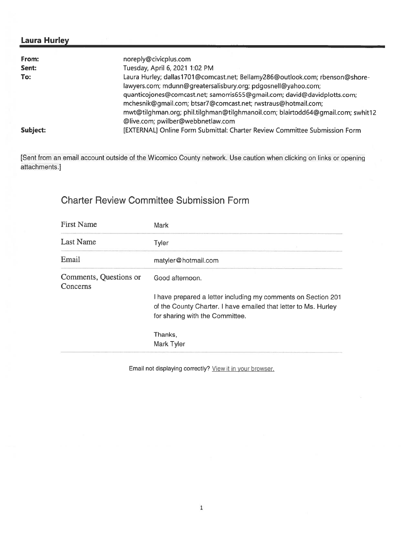## Laura Hurley

| From:    | noreply@civicplus.com                                                           |
|----------|---------------------------------------------------------------------------------|
| Sent:    | Tuesday, April 6, 2021 1:02 PM                                                  |
| To:      | Laura Hurley; dallas1701@comcast.net; Bellamy286@outlook.com; rbenson@shore-    |
|          | lawyers.com; mdunn@greatersalisbury.org; pdgosnell@yahoo.com;                   |
|          | quanticojones@comcast.net; samorris655@gmail.com; david@davidplotts.com;        |
|          | mchesnik@gmail.com; btsar7@comcast.net; rwstraus@hotmail.com;                   |
|          | mwt@tilghman.org; phil.tilghman@tilghmanoil.com; blairtodd64@gmail.com; swhit12 |
|          | @live.com; pwilber@webbnetlaw.com                                               |
| Subject: | [EXTERNAL] Online Form Submittal: Charter Review Committee Submission Form      |

[Sent from an email account outside of the Wicomico County network. Use caution when clicking on links or opening attachments.]

# Charter Review Committee Submission Form

| Mark                                                                                                                                                                |
|---------------------------------------------------------------------------------------------------------------------------------------------------------------------|
| Tyler                                                                                                                                                               |
| matyler@hotmail.com                                                                                                                                                 |
| Good afternoon.                                                                                                                                                     |
| I have prepared a letter including my comments on Section 201<br>of the County Charter. I have emailed that letter to Ms. Hurley<br>for sharing with the Committee. |
| Thanks,<br>Mark Tyler                                                                                                                                               |
|                                                                                                                                                                     |

Email not displaying correctly? View it in your browser.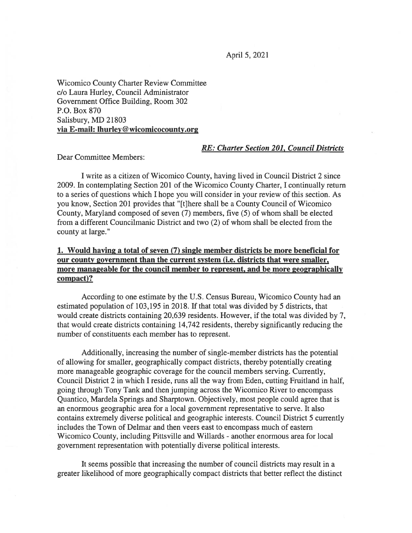Wicomico County Charter Review Committee c/o Laura Hurley, Council Administrator Government Office Building, Room 302 P.O. Box \$70 Salisbury, MD 21803 via E-mail: lhurley@wicomicocounty.org

#### RE: Charter Section 201, Council Districts

Dear Committee Members:

I write as <sup>a</sup> citizen of Wicomico County, having lived in Council District 2 since 2009. In contemplating Section 201 of the Wicomico County Charter, I continually return to <sup>a</sup> series of questions which I hope you will consider in your review of this section. As you know, Section 201 provides that '[t]here shall be <sup>a</sup> County Council of Wicomico County, Maryland composed of seven (7) members, five (5) of whom shall be elected from <sup>a</sup> different Councilmanic District and two (2) of whom shall be elected from the county at large.

#### 1. Would having <sup>a</sup> total of seven (7) single member districts be more beneficial for our county governmen<sup>t</sup> than the current system (i.e. districts that were smaller, more manageable for the council member to represent, and be more geographically compact)?

According to one estimate by the U.S. Census Bureau, Wicomico County had an estimated population of 103,195 in 2018. If that total was divided by 5 districts, that would create districts containing 20,639 residents. However, if the total was divided by 7, that would create districts containing 14,742 residents, thereby significantly reducing the number of constituents each member has to represent.

Additionally, increasing the number of single-member districts has the potential of allowing for smaller, geographically compac<sup>t</sup> districts, thereby potentially creating more manageable geographic coverage for the council members serving. Currently, Council District 2 in which I reside, runs all the way from Eden, cutting Fruitland in half, going through Tony Tank and then jumping across the Wicomico River to encompass Quantico, Mardela Springs and Sharptown. Objectively, most people could agree that is an enormous geographic area for <sup>a</sup> local governmen<sup>t</sup> representative to serve. It also contains extremely diverse political and geographic interests. Council District 5 currently includes the Town of Delmar and then veers east to encompass much of eastern Wicomico County, including Pittsville and Willards - another enormous area for local governmen<sup>t</sup> representation with potentially diverse political interests.

It seems possible that increasing the number of council districts may result in <sup>a</sup> greater likelihood of more geographically compac<sup>t</sup> districts that better reflect the distinct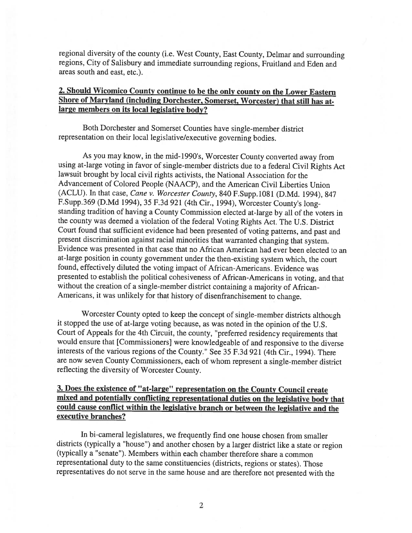regional diversity of the county (i.e. West County, East County, Delmar and surrounding regions, City of Salisbury and immediate surrounding regions, Fruitland and Eden and areas south and east, etc.).

#### 2. Should Wicomico County continue to be the only county on the Lower Eastern Shore of Maryland (including Dorchester. Somerset, Worcester) that still has atlarge members on its local legislative body?

Both Dorchester and Somerset Counties have single-member district representation on their local legislative/executive governing bodies.

As you may know, in the mid-1990's, Worcester County converted away from using at-large voting in favor of single-member districts due to <sup>a</sup> federal Civil Rights Act lawsuit brought by local civil rights activists, the National Association for the Advancement of Colored People (NAACP), and the American Civil Liberties Union (ACLU). In that case, Cane v. Worcester County, 840 F.Supp.1081 (D.Md. 1994), 847 F.Supp.369 (D.Md 1994), <sup>35</sup> F.3d <sup>921</sup> (4th Cir., 1994), Worcester Countys long standing tradition of having <sup>a</sup> County Commission elected at-large by all of the voters in the county was deemed <sup>a</sup> violation of the federal Voting Rights Act. The U.S. District Court found that sufficient evidence had been presented of voting patterns, and past and present discrimination against racial minorities that warranted changing that system. Evidence was presented in that case that no African American had ever been elected to an at-large position in county government under the then-existing system which, the court found, effectively diluted the voting impact of African-Americans. Evidence was presented to establish the political cohesiveness of African-Americans in voting, and that without the creation of <sup>a</sup> single-member district containing <sup>a</sup> majority of African-Americans, it was unlikely for that history of disenfranchisement to change.

Worcester County opted to keep the concept of single-member districts although it stopped the use of at-large voting because, as was noted in the opinion of the U.S. Court of Appeals for the 4th Circuit, the county, "preferred residency requirements that would ensure that [Commissioners] were knowledgeable of and responsive to the diverse interests of the various regions of the County." See <sup>35</sup> F.3d <sup>921</sup> (4th Cir., 1994). There are now seven County Commissioners, each of whom represent <sup>a</sup> single-member district reflecting the diversity of Worcester County.

### 3. Does the existence of "at-large" representation on the County Council create mixed and potentially conflicting representational duties on the legislative body that could cause conflict within the legislative branch or between the legislative and the executive branches?

In bi-cameral legislatures, we frequently find one house chosen from smaller districts (typically <sup>a</sup> "house") and another chosen by <sup>a</sup> larger district like <sup>a</sup> state or region (typically <sup>a</sup> "senate"). Members within each chamber therefore share <sup>a</sup> common representational duty to the same constituencies (districts, regions or states). Those representatives do not serve in the same house and are therefore not presented with the